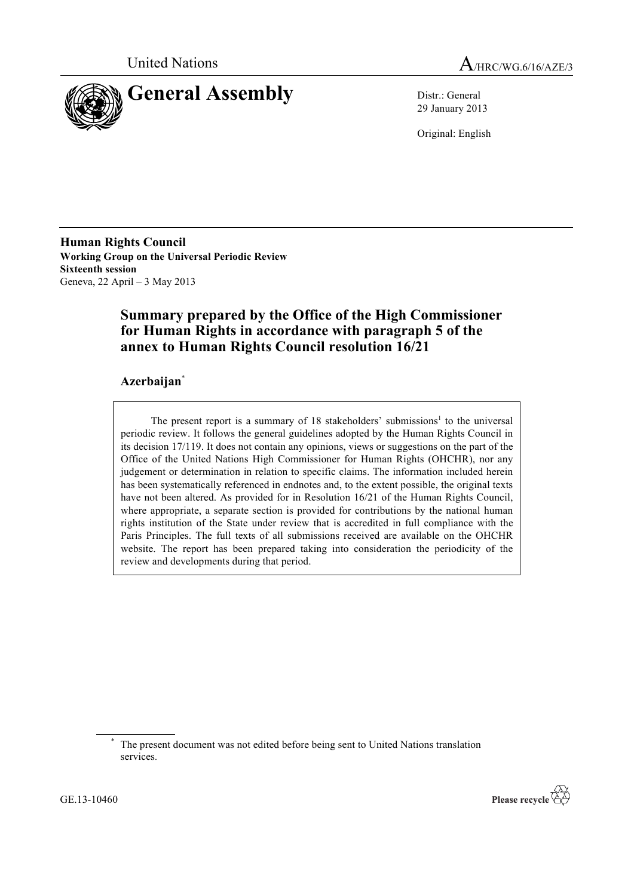



29 January 2013

Original: English

**Human Rights Council Working Group on the Universal Periodic Review Sixteenth session** Geneva, 22 April – 3 May 2013

# **Summary prepared by the Office of the High Commissioner for Human Rights in accordance with paragraph 5 of the annex to Human Rights Council resolution 16/21**

# **Azerbaijan**\*

The present report is a summary of  $18$  stakeholders' submissions<sup>1</sup> to the universal periodic review. It follows the general guidelines adopted by the Human Rights Council in its decision 17/119. It does not contain any opinions, views or suggestions on the part of the Office of the United Nations High Commissioner for Human Rights (OHCHR), nor any judgement or determination in relation to specific claims. The information included herein has been systematically referenced in endnotes and, to the extent possible, the original texts have not been altered. As provided for in Resolution 16/21 of the Human Rights Council, where appropriate, a separate section is provided for contributions by the national human rights institution of the State under review that is accredited in full compliance with the Paris Principles. The full texts of all submissions received are available on the OHCHR website. The report has been prepared taking into consideration the periodicity of the review and developments during that period.



The present document was not edited before being sent to United Nations translation services.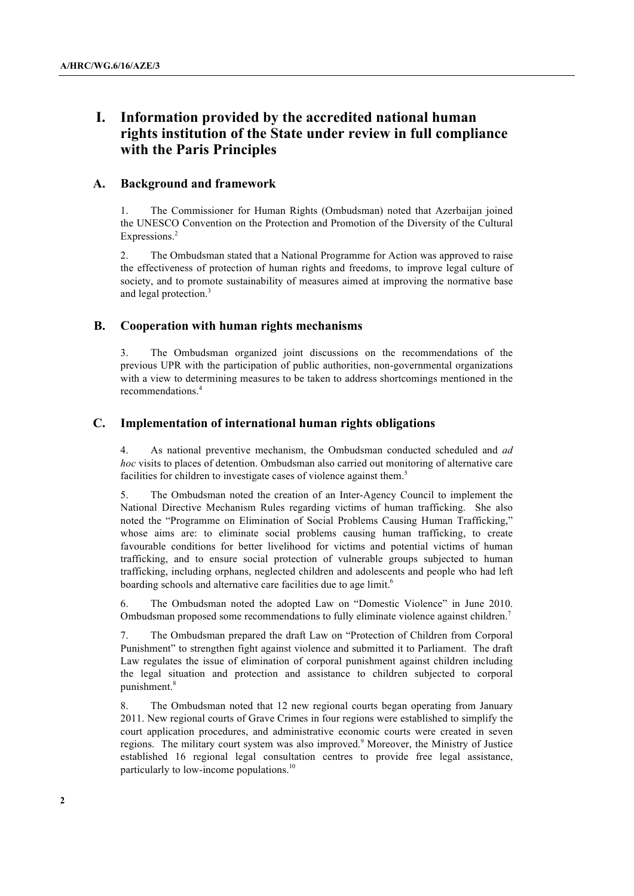# **I. Information provided by the accredited national human rights institution of the State under review in full compliance with the Paris Principles**

# **A. Background and framework**

1. The Commissioner for Human Rights (Ombudsman) noted that Azerbaijan joined the UNESCO Convention on the Protection and Promotion of the Diversity of the Cultural Expressions.<sup>2</sup>

2. The Ombudsman stated that a National Programme for Action was approved to raise the effectiveness of protection of human rights and freedoms, to improve legal culture of society, and to promote sustainability of measures aimed at improving the normative base and legal protection.<sup>3</sup>

# **B. Cooperation with human rights mechanisms**

3. The Ombudsman organized joint discussions on the recommendations of the previous UPR with the participation of public authorities, non-governmental organizations with a view to determining measures to be taken to address shortcomings mentioned in the recommendations.<sup>4</sup>

# **C. Implementation of international human rights obligations**

4. As national preventive mechanism, the Ombudsman conducted scheduled and *ad hoc* visits to places of detention. Ombudsman also carried out monitoring of alternative care facilities for children to investigate cases of violence against them.<sup>5</sup>

5. The Ombudsman noted the creation of an Inter-Agency Council to implement the National Directive Mechanism Rules regarding victims of human trafficking. She also noted the "Programme on Elimination of Social Problems Causing Human Trafficking," whose aims are: to eliminate social problems causing human trafficking, to create favourable conditions for better livelihood for victims and potential victims of human trafficking, and to ensure social protection of vulnerable groups subjected to human trafficking, including orphans, neglected children and adolescents and people who had left boarding schools and alternative care facilities due to age limit.<sup>6</sup>

6. The Ombudsman noted the adopted Law on "Domestic Violence" in June 2010. Ombudsman proposed some recommendations to fully eliminate violence against children.<sup>7</sup>

7. The Ombudsman prepared the draft Law on "Protection of Children from Corporal Punishment" to strengthen fight against violence and submitted it to Parliament. The draft Law regulates the issue of elimination of corporal punishment against children including the legal situation and protection and assistance to children subjected to corporal punishment.<sup>8</sup>

8. The Ombudsman noted that 12 new regional courts began operating from January 2011. New regional courts of Grave Crimes in four regions were established to simplify the court application procedures, and administrative economic courts were created in seven regions. The military court system was also improved.<sup>9</sup> Moreover, the Ministry of Justice established 16 regional legal consultation centres to provide free legal assistance, particularly to low-income populations.<sup>10</sup>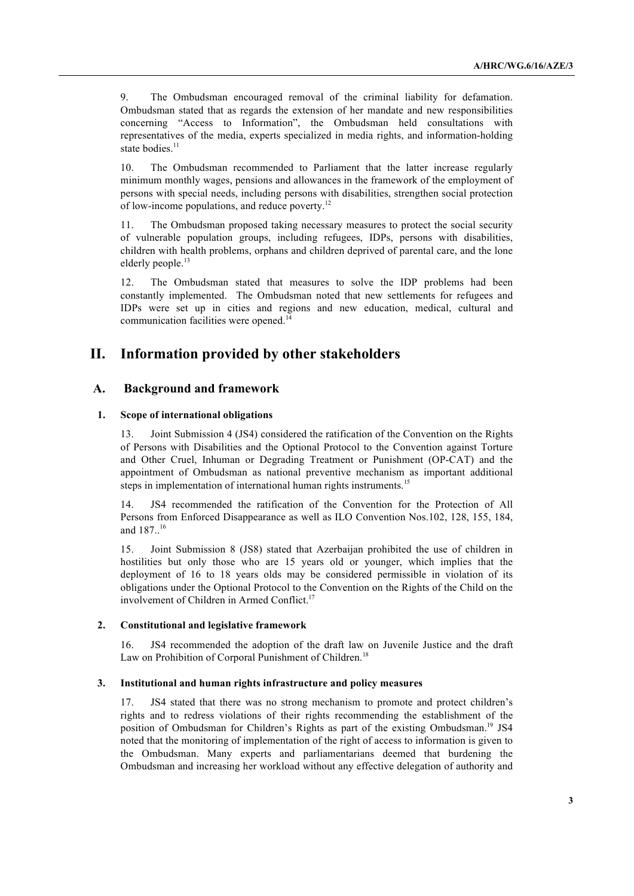9. The Ombudsman encouraged removal of the criminal liability for defamation. Ombudsman stated that as regards the extension of her mandate and new responsibilities concerning "Access to Information", the Ombudsman held consultations with representatives of the media, experts specialized in media rights, and information-holding state bodies.<sup>11</sup>

10. The Ombudsman recommended to Parliament that the latter increase regularly minimum monthly wages, pensions and allowances in the framework of the employment of persons with special needs, including persons with disabilities, strengthen social protection of low-income populations, and reduce poverty.<sup>12</sup>

11. The Ombudsman proposed taking necessary measures to protect the social security of vulnerable population groups, including refugees, IDPs, persons with disabilities, children with health problems, orphans and children deprived of parental care, and the lone elderly people.<sup>13</sup>

12. The Ombudsman stated that measures to solve the IDP problems had been constantly implemented. The Ombudsman noted that new settlements for refugees and IDPs were set up in cities and regions and new education, medical, cultural and communication facilities were opened.<sup>14</sup>

# **II. Information provided by other stakeholders**

# **A. Background and framework**

#### **1. Scope of international obligations**

13. Joint Submission 4 (JS4) considered the ratification of the Convention on the Rights of Persons with Disabilities and the Optional Protocol to the Convention against Torture and Other Cruel, Inhuman or Degrading Treatment or Punishment (OP-CAT) and the appointment of Ombudsman as national preventive mechanism as important additional steps in implementation of international human rights instruments.<sup>15</sup>

14. JS4 recommended the ratification of the Convention for the Protection of All Persons from Enforced Disappearance as well as ILO Convention Nos.102, 128, 155, 184, and 187.. 16

15. Joint Submission 8 (JS8) stated that Azerbaijan prohibited the use of children in hostilities but only those who are 15 years old or younger, which implies that the deployment of 16 to 18 years olds may be considered permissible in violation of its obligations under the Optional Protocol to the Convention on the Rights of the Child on the involvement of Children in Armed Conflict.<sup>17</sup>

## **2. Constitutional and legislative framework**

16. JS4 recommended the adoption of the draft law on Juvenile Justice and the draft Law on Prohibition of Corporal Punishment of Children.<sup>18</sup>

#### **3. Institutional and human rights infrastructure and policy measures**

17. JS4 stated that there was no strong mechanism to promote and protect children's rights and to redress violations of their rights recommending the establishment of the position of Ombudsman for Children's Rights as part of the existing Ombudsman.19 JS4 noted that the monitoring of implementation of the right of access to information is given to the Ombudsman. Many experts and parliamentarians deemed that burdening the Ombudsman and increasing her workload without any effective delegation of authority and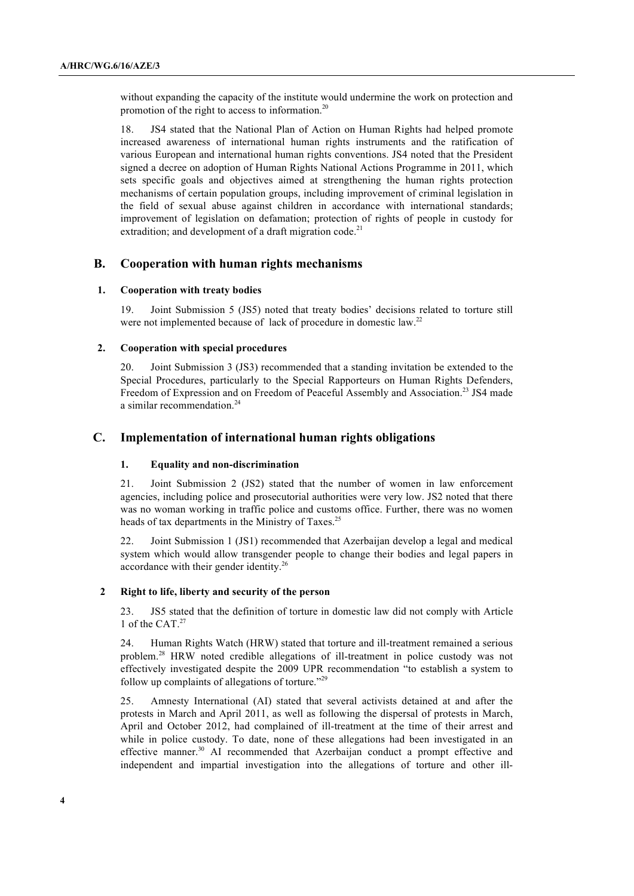without expanding the capacity of the institute would undermine the work on protection and promotion of the right to access to information.<sup>20</sup>

18. JS4 stated that the National Plan of Action on Human Rights had helped promote increased awareness of international human rights instruments and the ratification of various European and international human rights conventions. JS4 noted that the President signed a decree on adoption of Human Rights National Actions Programme in 2011, which sets specific goals and objectives aimed at strengthening the human rights protection mechanisms of certain population groups, including improvement of criminal legislation in the field of sexual abuse against children in accordance with international standards; improvement of legislation on defamation; protection of rights of people in custody for extradition; and development of a draft migration code.<sup>21</sup>

# **B. Cooperation with human rights mechanisms**

#### **1. Cooperation with treaty bodies**

19. Joint Submission 5 (JS5) noted that treaty bodies' decisions related to torture still were not implemented because of lack of procedure in domestic law.<sup>22</sup>

#### **2. Cooperation with special procedures**

20. Joint Submission 3 (JS3) recommended that a standing invitation be extended to the Special Procedures, particularly to the Special Rapporteurs on Human Rights Defenders, Freedom of Expression and on Freedom of Peaceful Assembly and Association.<sup>23</sup> JS4 made a similar recommendation.<sup>24</sup>

# **C. Implementation of international human rights obligations**

## **1. Equality and non-discrimination**

21. Joint Submission 2 (JS2) stated that the number of women in law enforcement agencies, including police and prosecutorial authorities were very low. JS2 noted that there was no woman working in traffic police and customs office. Further, there was no women heads of tax departments in the Ministry of Taxes.<sup>25</sup>

22. Joint Submission 1 (JS1) recommended that Azerbaijan develop a legal and medical system which would allow transgender people to change their bodies and legal papers in accordance with their gender identity.<sup>26</sup>

#### **2 Right to life, liberty and security of the person**

23. JS5 stated that the definition of torture in domestic law did not comply with Article 1 of the CAT.<sup>27</sup>

24. Human Rights Watch (HRW) stated that torture and ill-treatment remained a serious problem.<sup>28</sup> HRW noted credible allegations of ill-treatment in police custody was not effectively investigated despite the 2009 UPR recommendation "to establish a system to follow up complaints of allegations of torture."<sup>29</sup>

25. Amnesty International (AI) stated that several activists detained at and after the protests in March and April 2011, as well as following the dispersal of protests in March, April and October 2012, had complained of ill-treatment at the time of their arrest and while in police custody. To date, none of these allegations had been investigated in an effective manner.<sup>30</sup> AI recommended that Azerbaijan conduct a prompt effective and independent and impartial investigation into the allegations of torture and other ill-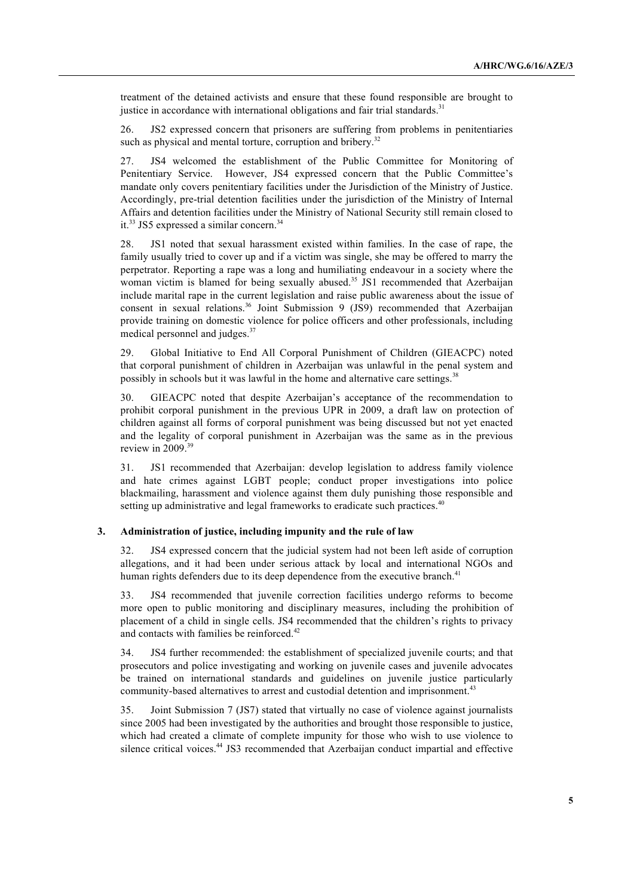treatment of the detained activists and ensure that these found responsible are brought to justice in accordance with international obligations and fair trial standards.<sup>31</sup>

26. JS2 expressed concern that prisoners are suffering from problems in penitentiaries such as physical and mental torture, corruption and bribery.<sup>32</sup>

27. JS4 welcomed the establishment of the Public Committee for Monitoring of Penitentiary Service. However, JS4 expressed concern that the Public Committee's mandate only covers penitentiary facilities under the Jurisdiction of the Ministry of Justice. Accordingly, pre-trial detention facilities under the jurisdiction of the Ministry of Internal Affairs and detention facilities under the Ministry of National Security still remain closed to it.<sup>33</sup> JS5 expressed a similar concern.<sup>34</sup>

28. JS1 noted that sexual harassment existed within families. In the case of rape, the family usually tried to cover up and if a victim was single, she may be offered to marry the perpetrator. Reporting a rape was a long and humiliating endeavour in a society where the woman victim is blamed for being sexually abused.<sup>35</sup> JS1 recommended that Azerbaijan include marital rape in the current legislation and raise public awareness about the issue of consent in sexual relations.<sup>36</sup> Joint Submission 9 (JS9) recommended that Azerbaijan provide training on domestic violence for police officers and other professionals, including medical personnel and judges.<sup>37</sup>

29. Global Initiative to End All Corporal Punishment of Children (GIEACPC) noted that corporal punishment of children in Azerbaijan was unlawful in the penal system and possibly in schools but it was lawful in the home and alternative care settings.<sup>38</sup>

30. GIEACPC noted that despite Azerbaijan's acceptance of the recommendation to prohibit corporal punishment in the previous UPR in 2009, a draft law on protection of children against all forms of corporal punishment was being discussed but not yet enacted and the legality of corporal punishment in Azerbaijan was the same as in the previous review in 2009.<sup>39</sup>

31. JS1 recommended that Azerbaijan: develop legislation to address family violence and hate crimes against LGBT people; conduct proper investigations into police blackmailing, harassment and violence against them duly punishing those responsible and setting up administrative and legal frameworks to eradicate such practices.<sup>40</sup>

#### **3. Administration of justice, including impunity and the rule of law**

32. JS4 expressed concern that the judicial system had not been left aside of corruption allegations, and it had been under serious attack by local and international NGOs and human rights defenders due to its deep dependence from the executive branch.<sup>41</sup>

33. JS4 recommended that juvenile correction facilities undergo reforms to become more open to public monitoring and disciplinary measures, including the prohibition of placement of a child in single cells. JS4 recommended that the children's rights to privacy and contacts with families be reinforced.<sup>42</sup>

34. JS4 further recommended: the establishment of specialized juvenile courts; and that prosecutors and police investigating and working on juvenile cases and juvenile advocates be trained on international standards and guidelines on juvenile justice particularly community-based alternatives to arrest and custodial detention and imprisonment.<sup>43</sup>

35. Joint Submission 7 (JS7) stated that virtually no case of violence against journalists since 2005 had been investigated by the authorities and brought those responsible to justice, which had created a climate of complete impunity for those who wish to use violence to silence critical voices.<sup>44</sup> JS3 recommended that Azerbaijan conduct impartial and effective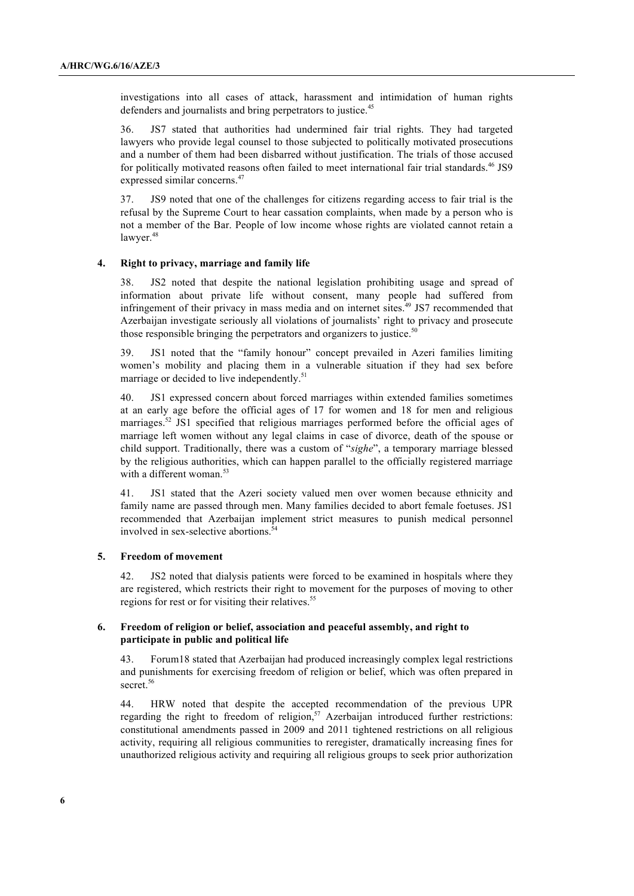investigations into all cases of attack, harassment and intimidation of human rights defenders and journalists and bring perpetrators to justice.<sup>45</sup>

36. JS7 stated that authorities had undermined fair trial rights. They had targeted lawyers who provide legal counsel to those subjected to politically motivated prosecutions and a number of them had been disbarred without justification. The trials of those accused for politically motivated reasons often failed to meet international fair trial standards.<sup>46</sup> JS9 expressed similar concerns.<sup>47</sup>

37. JS9 noted that one of the challenges for citizens regarding access to fair trial is the refusal by the Supreme Court to hear cassation complaints, when made by a person who is not a member of the Bar. People of low income whose rights are violated cannot retain a lawyer.<sup>48</sup>

### **4. Right to privacy, marriage and family life**

38. JS2 noted that despite the national legislation prohibiting usage and spread of information about private life without consent, many people had suffered from infringement of their privacy in mass media and on internet sites.<sup>49</sup> JS7 recommended that Azerbaijan investigate seriously all violations of journalists' right to privacy and prosecute those responsible bringing the perpetrators and organizers to justice.<sup>50</sup>

39. JS1 noted that the "family honour" concept prevailed in Azeri families limiting women's mobility and placing them in a vulnerable situation if they had sex before marriage or decided to live independently.<sup>51</sup>

40. JS1 expressed concern about forced marriages within extended families sometimes at an early age before the official ages of 17 for women and 18 for men and religious marriages.<sup>52</sup> JS1 specified that religious marriages performed before the official ages of marriage left women without any legal claims in case of divorce, death of the spouse or child support. Traditionally, there was a custom of "*sighe*", a temporary marriage blessed by the religious authorities, which can happen parallel to the officially registered marriage with a different woman  $53$ 

41. JS1 stated that the Azeri society valued men over women because ethnicity and family name are passed through men. Many families decided to abort female foetuses. JS1 recommended that Azerbaijan implement strict measures to punish medical personnel involved in sex-selective abortions.<sup>5</sup>

#### **5. Freedom of movement**

42. JS2 noted that dialysis patients were forced to be examined in hospitals where they are registered, which restricts their right to movement for the purposes of moving to other regions for rest or for visiting their relatives.<sup>55</sup>

### **6. Freedom of religion or belief, association and peaceful assembly, and right to participate in public and political life**

43. Forum18 stated that Azerbaijan had produced increasingly complex legal restrictions and punishments for exercising freedom of religion or belief, which was often prepared in secret.<sup>56</sup>

44. HRW noted that despite the accepted recommendation of the previous UPR regarding the right to freedom of religion,<sup>57</sup> Azerbaijan introduced further restrictions: constitutional amendments passed in 2009 and 2011 tightened restrictions on all religious activity, requiring all religious communities to reregister, dramatically increasing fines for unauthorized religious activity and requiring all religious groups to seek prior authorization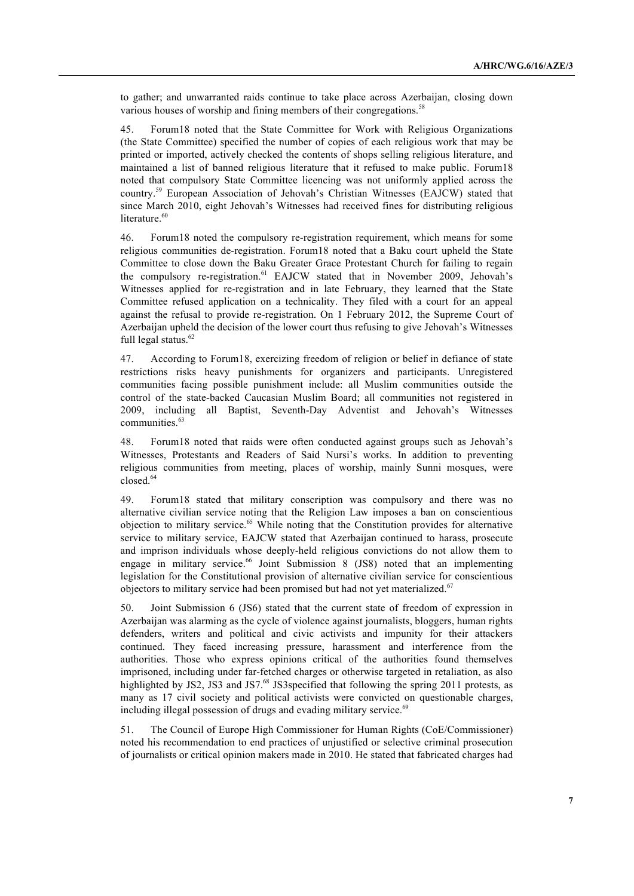to gather; and unwarranted raids continue to take place across Azerbaijan, closing down various houses of worship and fining members of their congregations.<sup>58</sup>

45. Forum18 noted that the State Committee for Work with Religious Organizations (the State Committee) specified the number of copies of each religious work that may be printed or imported, actively checked the contents of shops selling religious literature, and maintained a list of banned religious literature that it refused to make public. Forum18 noted that compulsory State Committee licencing was not uniformly applied across the country.<sup>59</sup> European Association of Jehovah's Christian Witnesses (EAJCW) stated that since March 2010, eight Jehovah's Witnesses had received fines for distributing religious literature $60$ 

46. Forum18 noted the compulsory re-registration requirement, which means for some religious communities de-registration. Forum18 noted that a Baku court upheld the State Committee to close down the Baku Greater Grace Protestant Church for failing to regain the compulsory re-registration.<sup>61</sup> EAJCW stated that in November 2009, Jehovah's Witnesses applied for re-registration and in late February, they learned that the State Committee refused application on a technicality. They filed with a court for an appeal against the refusal to provide re-registration. On 1 February 2012, the Supreme Court of Azerbaijan upheld the decision of the lower court thus refusing to give Jehovah's Witnesses full legal status.<sup>62</sup>

47. According to Forum18, exercizing freedom of religion or belief in defiance of state restrictions risks heavy punishments for organizers and participants. Unregistered communities facing possible punishment include: all Muslim communities outside the control of the state-backed Caucasian Muslim Board; all communities not registered in 2009, including all Baptist, Seventh-Day Adventist and Jehovah's Witnesses communities.<sup>63</sup>

48. Forum18 noted that raids were often conducted against groups such as Jehovah's Witnesses, Protestants and Readers of Said Nursi's works. In addition to preventing religious communities from meeting, places of worship, mainly Sunni mosques, were closed.<sup>64</sup>

49. Forum18 stated that military conscription was compulsory and there was no alternative civilian service noting that the Religion Law imposes a ban on conscientious objection to military service.<sup>65</sup> While noting that the Constitution provides for alternative service to military service, EAJCW stated that Azerbaijan continued to harass, prosecute and imprison individuals whose deeply-held religious convictions do not allow them to engage in military service.<sup>66</sup> Joint Submission 8 (JS8) noted that an implementing legislation for the Constitutional provision of alternative civilian service for conscientious objectors to military service had been promised but had not yet materialized.<sup>67</sup>

50. Joint Submission 6 (JS6) stated that the current state of freedom of expression in Azerbaijan was alarming as the cycle of violence against journalists, bloggers, human rights defenders, writers and political and civic activists and impunity for their attackers continued. They faced increasing pressure, harassment and interference from the authorities. Those who express opinions critical of the authorities found themselves imprisoned, including under far-fetched charges or otherwise targeted in retaliation, as also highlighted by JS2, JS3 and JS7.<sup>68</sup> JS3specified that following the spring 2011 protests, as many as 17 civil society and political activists were convicted on questionable charges, including illegal possession of drugs and evading military service.<sup>69</sup>

51. The Council of Europe High Commissioner for Human Rights (CoE/Commissioner) noted his recommendation to end practices of unjustified or selective criminal prosecution of journalists or critical opinion makers made in 2010. He stated that fabricated charges had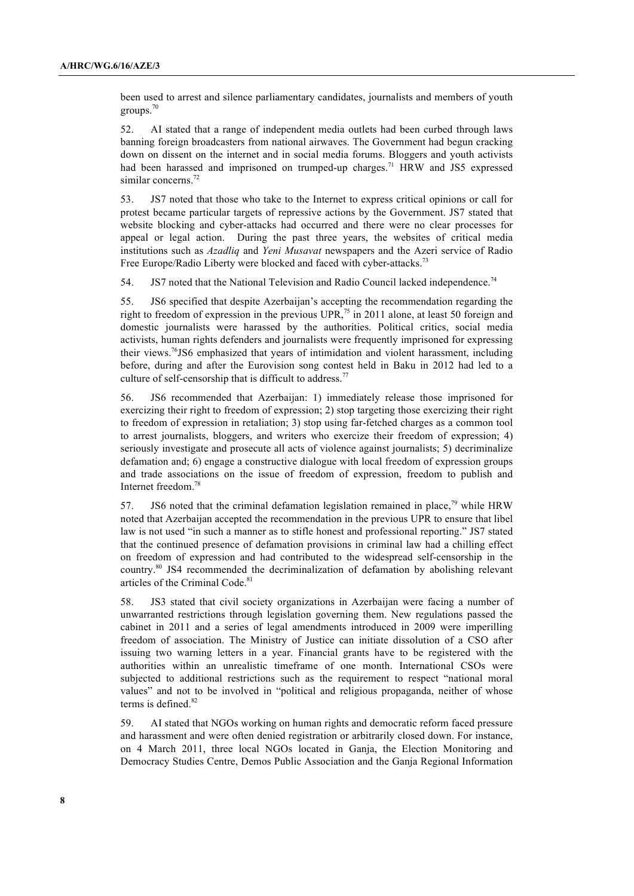been used to arrest and silence parliamentary candidates, journalists and members of youth groups. $70$ 

52. AI stated that a range of independent media outlets had been curbed through laws banning foreign broadcasters from national airwaves. The Government had begun cracking down on dissent on the internet and in social media forums. Bloggers and youth activists had been harassed and imprisoned on trumped-up charges.<sup>71</sup> HRW and JS5 expressed similar concerns.<sup>72</sup>

53. JS7 noted that those who take to the Internet to express critical opinions or call for protest became particular targets of repressive actions by the Government. JS7 stated that website blocking and cyber-attacks had occurred and there were no clear processes for appeal or legal action. During the past three years, the websites of critical media institutions such as *Azadliq* and *Yeni Musavat* newspapers and the Azeri service of Radio Free Europe/Radio Liberty were blocked and faced with cyber-attacks.<sup>73</sup>

54. JS7 noted that the National Television and Radio Council lacked independence.<sup>74</sup>

55. JS6 specified that despite Azerbaijan's accepting the recommendation regarding the right to freedom of expression in the previous UPR,<sup>75</sup> in 2011 alone, at least 50 foreign and domestic journalists were harassed by the authorities. Political critics, social media activists, human rights defenders and journalists were frequently imprisoned for expressing their views.<sup>76</sup>JS6 emphasized that years of intimidation and violent harassment, including before, during and after the Eurovision song contest held in Baku in 2012 had led to a culture of self-censorship that is difficult to address.<sup>77</sup>

56. JS6 recommended that Azerbaijan: 1) immediately release those imprisoned for exercizing their right to freedom of expression; 2) stop targeting those exercizing their right to freedom of expression in retaliation; 3) stop using far-fetched charges as a common tool to arrest journalists, bloggers, and writers who exercize their freedom of expression; 4) seriously investigate and prosecute all acts of violence against journalists; 5) decriminalize defamation and; 6) engage a constructive dialogue with local freedom of expression groups and trade associations on the issue of freedom of expression, freedom to publish and Internet freedom.78

57. JS6 noted that the criminal defamation legislation remained in place,<sup>79</sup> while HRW noted that Azerbaijan accepted the recommendation in the previous UPR to ensure that libel law is not used "in such a manner as to stifle honest and professional reporting." JS7 stated that the continued presence of defamation provisions in criminal law had a chilling effect on freedom of expression and had contributed to the widespread self-censorship in the country.<sup>80</sup> JS4 recommended the decriminalization of defamation by abolishing relevant articles of the Criminal Code.<sup>81</sup>

58. JS3 stated that civil society organizations in Azerbaijan were facing a number of unwarranted restrictions through legislation governing them. New regulations passed the cabinet in 2011 and a series of legal amendments introduced in 2009 were imperilling freedom of association. The Ministry of Justice can initiate dissolution of a CSO after issuing two warning letters in a year. Financial grants have to be registered with the authorities within an unrealistic timeframe of one month. International CSOs were subjected to additional restrictions such as the requirement to respect "national moral values" and not to be involved in "political and religious propaganda, neither of whose terms is defined.<sup>82</sup>

59. AI stated that NGOs working on human rights and democratic reform faced pressure and harassment and were often denied registration or arbitrarily closed down. For instance, on 4 March 2011, three local NGOs located in Ganja, the Election Monitoring and Democracy Studies Centre, Demos Public Association and the Ganja Regional Information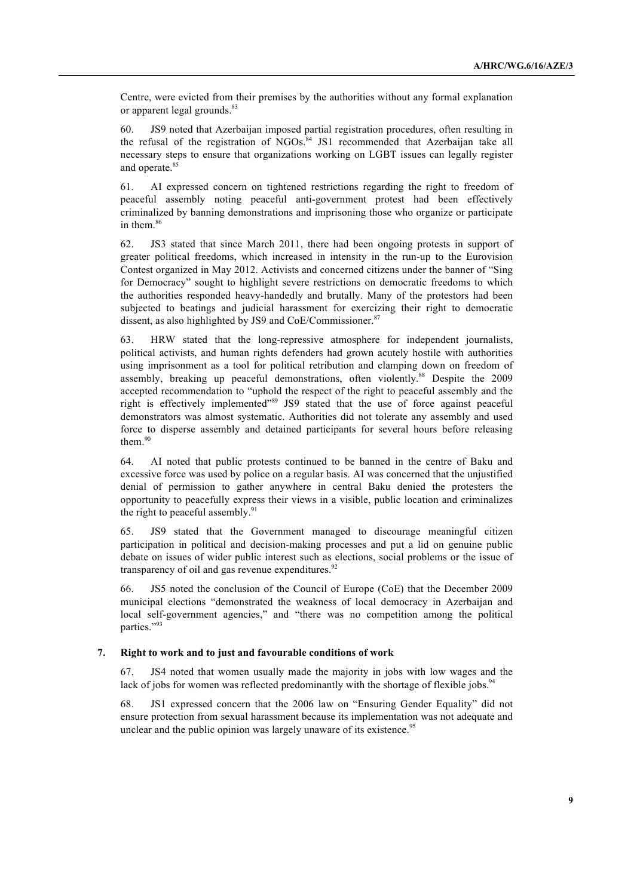Centre, were evicted from their premises by the authorities without any formal explanation or apparent legal grounds.<sup>83</sup>

60. JS9 noted that Azerbaijan imposed partial registration procedures, often resulting in the refusal of the registration of NGOs.<sup>84</sup> JS1 recommended that Azerbaijan take all necessary steps to ensure that organizations working on LGBT issues can legally register and operate.<sup>85</sup>

61. AI expressed concern on tightened restrictions regarding the right to freedom of peaceful assembly noting peaceful anti-government protest had been effectively criminalized by banning demonstrations and imprisoning those who organize or participate in them.<sup>86</sup>

62. JS3 stated that since March 2011, there had been ongoing protests in support of greater political freedoms, which increased in intensity in the run-up to the Eurovision Contest organized in May 2012. Activists and concerned citizens under the banner of "Sing for Democracy" sought to highlight severe restrictions on democratic freedoms to which the authorities responded heavy-handedly and brutally. Many of the protestors had been subjected to beatings and judicial harassment for exercizing their right to democratic dissent, as also highlighted by JS9 and CoE/Commissioner.<sup>87</sup>

63. HRW stated that the long-repressive atmosphere for independent journalists, political activists, and human rights defenders had grown acutely hostile with authorities using imprisonment as a tool for political retribution and clamping down on freedom of assembly, breaking up peaceful demonstrations, often violently.<sup>88</sup> Despite the 2009 accepted recommendation to "uphold the respect of the right to peaceful assembly and the right is effectively implemented"<sup>89</sup> JS9 stated that the use of force against peaceful demonstrators was almost systematic. Authorities did not tolerate any assembly and used force to disperse assembly and detained participants for several hours before releasing them $90$ 

64. AI noted that public protests continued to be banned in the centre of Baku and excessive force was used by police on a regular basis. AI was concerned that the unjustified denial of permission to gather anywhere in central Baku denied the protesters the opportunity to peacefully express their views in a visible, public location and criminalizes the right to peaceful assembly.<sup>91</sup>

65. JS9 stated that the Government managed to discourage meaningful citizen participation in political and decision-making processes and put a lid on genuine public debate on issues of wider public interest such as elections, social problems or the issue of transparency of oil and gas revenue expenditures.<sup>92</sup>

66. JS5 noted the conclusion of the Council of Europe (CoE) that the December 2009 municipal elections "demonstrated the weakness of local democracy in Azerbaijan and local self-government agencies," and "there was no competition among the political parties."<sup>93</sup>

#### **7. Right to work and to just and favourable conditions of work**

67. JS4 noted that women usually made the majority in jobs with low wages and the lack of jobs for women was reflected predominantly with the shortage of flexible jobs.<sup>94</sup>

68. JS1 expressed concern that the 2006 law on "Ensuring Gender Equality" did not ensure protection from sexual harassment because its implementation was not adequate and unclear and the public opinion was largely unaware of its existence.<sup>95</sup>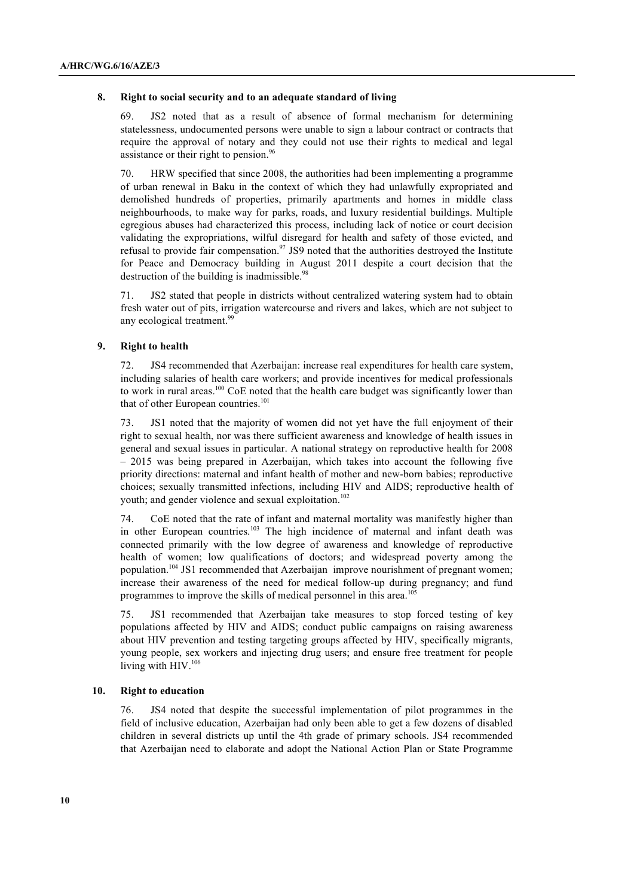#### **8. Right to social security and to an adequate standard of living**

69. JS2 noted that as a result of absence of formal mechanism for determining statelessness, undocumented persons were unable to sign a labour contract or contracts that require the approval of notary and they could not use their rights to medical and legal assistance or their right to pension.<sup>96</sup>

70. HRW specified that since 2008, the authorities had been implementing a programme of urban renewal in Baku in the context of which they had unlawfully expropriated and demolished hundreds of properties, primarily apartments and homes in middle class neighbourhoods, to make way for parks, roads, and luxury residential buildings. Multiple egregious abuses had characterized this process, including lack of notice or court decision validating the expropriations, wilful disregard for health and safety of those evicted, and refusal to provide fair compensation.<sup>97</sup> JS9 noted that the authorities destroyed the Institute for Peace and Democracy building in August 2011 despite a court decision that the destruction of the building is inadmissible. $98$ 

71. JS2 stated that people in districts without centralized watering system had to obtain fresh water out of pits, irrigation watercourse and rivers and lakes, which are not subject to any ecological treatment.<sup>99</sup>

## **9. Right to health**

72. JS4 recommended that Azerbaijan: increase real expenditures for health care system, including salaries of health care workers; and provide incentives for medical professionals to work in rural areas.<sup>100</sup> CoE noted that the health care budget was significantly lower than that of other European countries.<sup>101</sup>

73. JS1 noted that the majority of women did not yet have the full enjoyment of their right to sexual health, nor was there sufficient awareness and knowledge of health issues in general and sexual issues in particular. A national strategy on reproductive health for 2008 – 2015 was being prepared in Azerbaijan, which takes into account the following five priority directions: maternal and infant health of mother and new-born babies; reproductive choices; sexually transmitted infections, including HIV and AIDS; reproductive health of youth; and gender violence and sexual exploitation.<sup>102</sup>

74. CoE noted that the rate of infant and maternal mortality was manifestly higher than in other European countries.<sup>103</sup> The high incidence of maternal and infant death was connected primarily with the low degree of awareness and knowledge of reproductive health of women; low qualifications of doctors; and widespread poverty among the population.<sup>104</sup> JS1 recommended that Azerbaijan improve nourishment of pregnant women; increase their awareness of the need for medical follow-up during pregnancy; and fund programmes to improve the skills of medical personnel in this area.<sup>10</sup>

75. JS1 recommended that Azerbaijan take measures to stop forced testing of key populations affected by HIV and AIDS; conduct public campaigns on raising awareness about HIV prevention and testing targeting groups affected by HIV, specifically migrants, young people, sex workers and injecting drug users; and ensure free treatment for people living with  $HIV.<sup>106</sup>$ 

#### **10. Right to education**

76. JS4 noted that despite the successful implementation of pilot programmes in the field of inclusive education, Azerbaijan had only been able to get a few dozens of disabled children in several districts up until the 4th grade of primary schools. JS4 recommended that Azerbaijan need to elaborate and adopt the National Action Plan or State Programme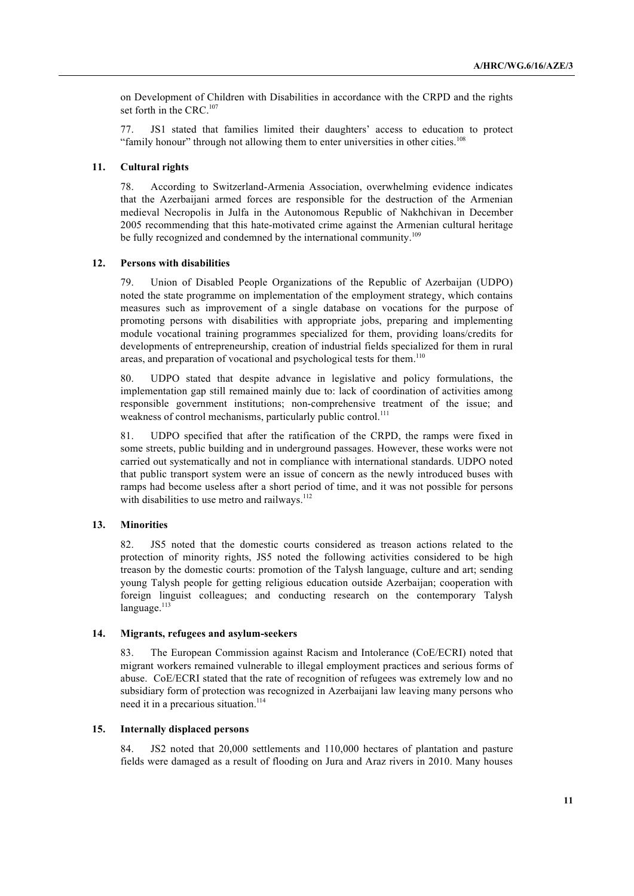on Development of Children with Disabilities in accordance with the CRPD and the rights set forth in the CRC.<sup>107</sup>

77. JS1 stated that families limited their daughters' access to education to protect "family honour" through not allowing them to enter universities in other cities.<sup>108</sup>

#### **11. Cultural rights**

78. According to Switzerland-Armenia Association, overwhelming evidence indicates that the Azerbaijani armed forces are responsible for the destruction of the Armenian medieval Necropolis in Julfa in the Autonomous Republic of Nakhchivan in December 2005 recommending that this hate-motivated crime against the Armenian cultural heritage be fully recognized and condemned by the international community.<sup>109</sup>

### **12. Persons with disabilities**

79. Union of Disabled People Organizations of the Republic of Azerbaijan (UDPO) noted the state programme on implementation of the employment strategy, which contains measures such as improvement of a single database on vocations for the purpose of promoting persons with disabilities with appropriate jobs, preparing and implementing module vocational training programmes specialized for them, providing loans/credits for developments of entrepreneurship, creation of industrial fields specialized for them in rural areas, and preparation of vocational and psychological tests for them.<sup>110</sup>

80. UDPO stated that despite advance in legislative and policy formulations, the implementation gap still remained mainly due to: lack of coordination of activities among responsible government institutions; non-comprehensive treatment of the issue; and weakness of control mechanisms, particularly public control.<sup>111</sup>

81. UDPO specified that after the ratification of the CRPD, the ramps were fixed in some streets, public building and in underground passages. However, these works were not carried out systematically and not in compliance with international standards. UDPO noted that public transport system were an issue of concern as the newly introduced buses with ramps had become useless after a short period of time, and it was not possible for persons with disabilities to use metro and railways.<sup>112</sup>

#### **13. Minorities**

82. JS5 noted that the domestic courts considered as treason actions related to the protection of minority rights, JS5 noted the following activities considered to be high treason by the domestic courts: promotion of the Talysh language, culture and art; sending young Talysh people for getting religious education outside Azerbaijan; cooperation with foreign linguist colleagues; and conducting research on the contemporary Talysh  $language.<sup>113</sup>$ 

## **14. Migrants, refugees and asylum-seekers**

83. The European Commission against Racism and Intolerance (CoE/ECRI) noted that migrant workers remained vulnerable to illegal employment practices and serious forms of abuse. CoE/ECRI stated that the rate of recognition of refugees was extremely low and no subsidiary form of protection was recognized in Azerbaijani law leaving many persons who need it in a precarious situation.<sup>114</sup>

# **15. Internally displaced persons**

84. JS2 noted that 20,000 settlements and 110,000 hectares of plantation and pasture fields were damaged as a result of flooding on Jura and Araz rivers in 2010. Many houses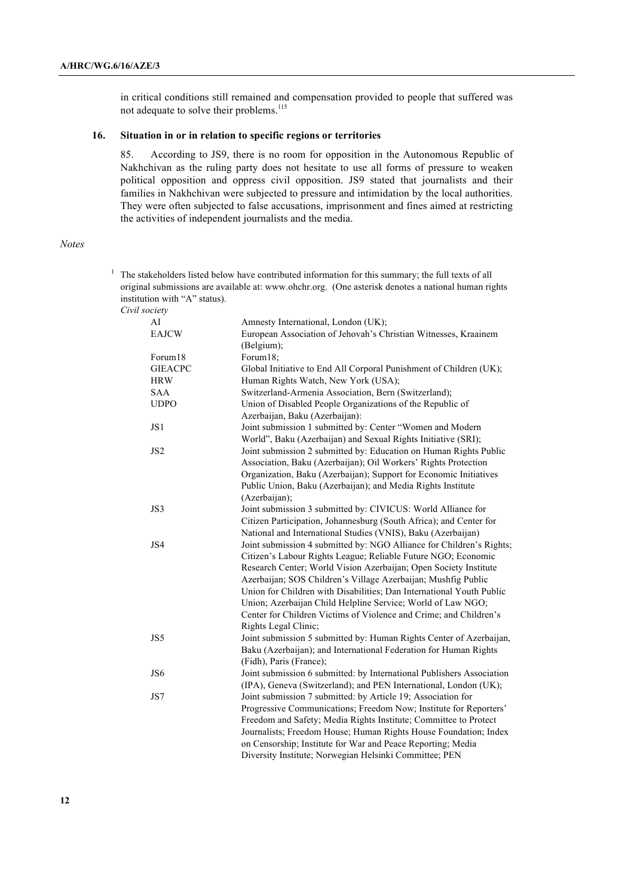in critical conditions still remained and compensation provided to people that suffered was not adequate to solve their problems.<sup>115</sup>

## **16. Situation in or in relation to specific regions or territories**

85. According to JS9, there is no room for opposition in the Autonomous Republic of Nakhchivan as the ruling party does not hesitate to use all forms of pressure to weaken political opposition and oppress civil opposition. JS9 stated that journalists and their families in Nakhchivan were subjected to pressure and intimidation by the local authorities. They were often subjected to false accusations, imprisonment and fines aimed at restricting the activities of independent journalists and the media.

#### *Notes*

<sup>1</sup> The stakeholders listed below have contributed information for this summary; the full texts of all original submissions are available at: www.ohchr.org. (One asterisk denotes a national human rights institution with "A" status). *Civil society* AI Amnesty International, London (UK);

| EAJCW           | European Association of Jehovah's Christian Witnesses, Kraainem       |
|-----------------|-----------------------------------------------------------------------|
|                 | (Belgium);                                                            |
| Forum18         | Forum18;                                                              |
| <b>GIEACPC</b>  | Global Initiative to End All Corporal Punishment of Children (UK);    |
| <b>HRW</b>      | Human Rights Watch, New York (USA);                                   |
| <b>SAA</b>      | Switzerland-Armenia Association, Bern (Switzerland);                  |
| <b>UDPO</b>     | Union of Disabled People Organizations of the Republic of             |
|                 | Azerbaijan, Baku (Azerbaijan):                                        |
| JS1             | Joint submission 1 submitted by: Center "Women and Modern             |
|                 | World", Baku (Azerbaijan) and Sexual Rights Initiative (SRI);         |
| JS <sub>2</sub> | Joint submission 2 submitted by: Education on Human Rights Public     |
|                 | Association, Baku (Azerbaijan); Oil Workers' Rights Protection        |
|                 | Organization, Baku (Azerbaijan); Support for Economic Initiatives     |
|                 | Public Union, Baku (Azerbaijan); and Media Rights Institute           |
|                 | (Azerbaijan);                                                         |
| JS3             | Joint submission 3 submitted by: CIVICUS: World Alliance for          |
|                 | Citizen Participation, Johannesburg (South Africa); and Center for    |
|                 | National and International Studies (VNIS), Baku (Azerbaijan)          |
| JS4             | Joint submission 4 submitted by: NGO Alliance for Children's Rights;  |
|                 | Citizen's Labour Rights League; Reliable Future NGO; Economic         |
|                 | Research Center; World Vision Azerbaijan; Open Society Institute      |
|                 | Azerbaijan; SOS Children's Village Azerbaijan; Mushfig Public         |
|                 | Union for Children with Disabilities; Dan International Youth Public  |
|                 | Union; Azerbaijan Child Helpline Service; World of Law NGO;           |
|                 | Center for Children Victims of Violence and Crime; and Children's     |
|                 | Rights Legal Clinic;                                                  |
| JS5             | Joint submission 5 submitted by: Human Rights Center of Azerbaijan,   |
|                 | Baku (Azerbaijan); and International Federation for Human Rights      |
|                 | (Fidh), Paris (France);                                               |
| JS6             | Joint submission 6 submitted: by International Publishers Association |
|                 | (IPA), Geneva (Switzerland); and PEN International, London (UK);      |
| JS7             | Joint submission 7 submitted: by Article 19; Association for          |
|                 | Progressive Communications; Freedom Now; Institute for Reporters'     |
|                 | Freedom and Safety; Media Rights Institute; Committee to Protect      |
|                 | Journalists; Freedom House; Human Rights House Foundation; Index      |
|                 | on Censorship; Institute for War and Peace Reporting; Media           |
|                 | Diversity Institute; Norwegian Helsinki Committee; PEN                |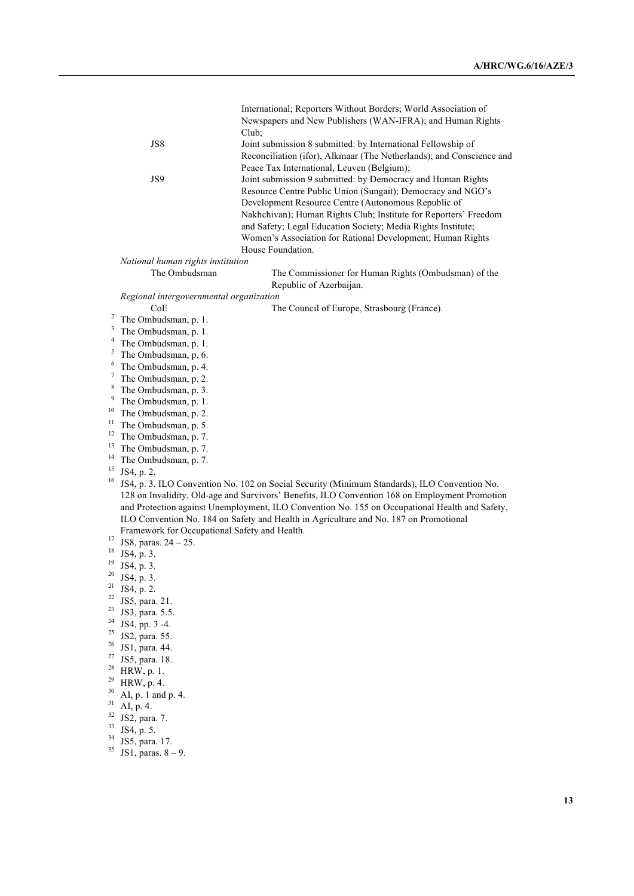|          |                                                                                                                                                                                         | International; Reporters Without Borders; World Association of       |  |  |
|----------|-----------------------------------------------------------------------------------------------------------------------------------------------------------------------------------------|----------------------------------------------------------------------|--|--|
|          |                                                                                                                                                                                         | Newspapers and New Publishers (WAN-IFRA); and Human Rights           |  |  |
|          |                                                                                                                                                                                         | Club;                                                                |  |  |
|          | JS8                                                                                                                                                                                     | Joint submission 8 submitted: by International Fellowship of         |  |  |
|          |                                                                                                                                                                                         | Reconciliation (ifor), Alkmaar (The Netherlands); and Conscience and |  |  |
|          |                                                                                                                                                                                         | Peace Tax International, Leuven (Belgium);                           |  |  |
|          | JS9                                                                                                                                                                                     | Joint submission 9 submitted: by Democracy and Human Rights          |  |  |
|          |                                                                                                                                                                                         | Resource Centre Public Union (Sungait); Democracy and NGO's          |  |  |
|          |                                                                                                                                                                                         | Development Resource Centre (Autonomous Republic of                  |  |  |
|          |                                                                                                                                                                                         | Nakhchivan); Human Rights Club; Institute for Reporters' Freedom     |  |  |
|          |                                                                                                                                                                                         | and Safety; Legal Education Society; Media Rights Institute;         |  |  |
|          |                                                                                                                                                                                         | Women's Association for Rational Development; Human Rights           |  |  |
|          |                                                                                                                                                                                         | House Foundation.                                                    |  |  |
|          | National human rights institution                                                                                                                                                       |                                                                      |  |  |
|          | The Ombudsman                                                                                                                                                                           | The Commissioner for Human Rights (Ombudsman) of the                 |  |  |
|          |                                                                                                                                                                                         | Republic of Azerbaijan.                                              |  |  |
|          | Regional intergovernmental organization<br>CoE                                                                                                                                          |                                                                      |  |  |
| 2        | The Ombudsman, p. 1.                                                                                                                                                                    | The Council of Europe, Strasbourg (France).                          |  |  |
| 3        | The Ombudsman, p. 1.                                                                                                                                                                    |                                                                      |  |  |
| 4        | The Ombudsman, p. 1.                                                                                                                                                                    |                                                                      |  |  |
| 5        | The Ombudsman, p. 6.                                                                                                                                                                    |                                                                      |  |  |
| 6        | The Ombudsman, p. 4.                                                                                                                                                                    |                                                                      |  |  |
| 7        | The Ombudsman, p. 2.                                                                                                                                                                    |                                                                      |  |  |
| 8        | The Ombudsman, p. 3.                                                                                                                                                                    |                                                                      |  |  |
| 9        | The Ombudsman, p. 1.                                                                                                                                                                    |                                                                      |  |  |
| 10       | The Ombudsman, p. 2.                                                                                                                                                                    |                                                                      |  |  |
| 11       | The Ombudsman, p. 5.                                                                                                                                                                    |                                                                      |  |  |
| 12       | The Ombudsman, p. 7.                                                                                                                                                                    |                                                                      |  |  |
| 13       | The Ombudsman, p. 7.                                                                                                                                                                    |                                                                      |  |  |
| 14       | The Ombudsman, p. 7.                                                                                                                                                                    |                                                                      |  |  |
| 15<br>16 | JS4, p. 2.                                                                                                                                                                              |                                                                      |  |  |
|          | JS4, p. 3. ILO Convention No. 102 on Social Security (Minimum Standards), ILO Convention No.                                                                                            |                                                                      |  |  |
|          | 128 on Invalidity, Old-age and Survivors' Benefits, ILO Convention 168 on Employment Promotion                                                                                          |                                                                      |  |  |
|          | and Protection against Unemployment, ILO Convention No. 155 on Occupational Health and Safety,<br>ILO Convention No. 184 on Safety and Health in Agriculture and No. 187 on Promotional |                                                                      |  |  |
|          | Framework for Occupational Safety and Health.                                                                                                                                           |                                                                      |  |  |
| 17       | JS8, paras. $24 - 25$ .                                                                                                                                                                 |                                                                      |  |  |
| 18       | JS4, p. 3.                                                                                                                                                                              |                                                                      |  |  |
| 19       | JS4, p. 3.                                                                                                                                                                              |                                                                      |  |  |
| 20       | JS4, p. 3.                                                                                                                                                                              |                                                                      |  |  |
| 21       | JS4, p. 2.                                                                                                                                                                              |                                                                      |  |  |
| 22       | JS5, para. 21.                                                                                                                                                                          |                                                                      |  |  |
| 23       | JS3, para. 5.5.                                                                                                                                                                         |                                                                      |  |  |
| 24       | JS4, pp. 3 -4.                                                                                                                                                                          |                                                                      |  |  |
| 25       | JS2, para. 55.                                                                                                                                                                          |                                                                      |  |  |
| 26       | JS1, para. 44.                                                                                                                                                                          |                                                                      |  |  |
| 27       | JS5, para. 18.                                                                                                                                                                          |                                                                      |  |  |
| 28       | HRW, p. 1.                                                                                                                                                                              |                                                                      |  |  |
| 29       | HRW, p. 4.                                                                                                                                                                              |                                                                      |  |  |
| 30       | AI, p. 1 and p. 4.                                                                                                                                                                      |                                                                      |  |  |

- 
- 
- 
- <sup>31</sup> AI, p. 4.<br><sup>32</sup> JS2, para. 7.<br><sup>33</sup> JS4, p. 5.<br><sup>34</sup> JS5, para. 17.<br><sup>35</sup> JS1, paras. 8 9.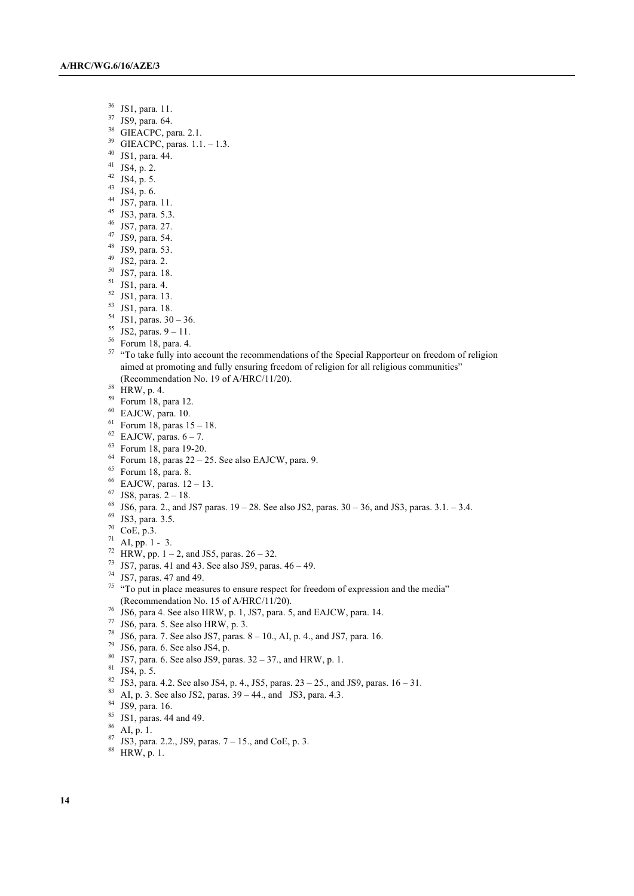- $\frac{36}{37}$  JS1, para. 11.
- JS9, para. 64.
- <sup>38</sup> GIEACPC, para. 2.1.
- GIEACPC, paras. 1.1. 1.3.
- JS1, para. 44.
- JS4, p. 2.
- JS4, p. 5.
- JS4, p. 6.
- JS7, para. 11.
- JS3, para. 5.3.
- JS7, para. 27.
- JS9, para. 54.
- JS9, para. 53.
- JS2, para. 2.
- JS7, para. 18.
- JS1, para. 4.
- JS1, para. 13.
- JS1, para. 18.
- JS1, paras.  $30 36$ .
- JS2, paras.  $9 11$ .
- Forum 18, para. 4.
- <sup>57</sup> "To take fully into account the recommendations of the Special Rapporteur on freedom of religion aimed at promoting and fully ensuring freedom of religion for all religious communities" (Recommendation No. 19 of A/HRC/11/20).
- $^{58}$  HRW, p. 4.
- $^{59}$  Forum 18, para 12.
- EAJCW, para. 10.
- Forum 18, paras  $15 18$ .
- EAJCW, paras.  $6 7$ .
- Forum 18, para 19-20.
- $^{64}$  Forum 18, paras 22 25. See also EAJCW, para. 9.
- Forum 18, para. 8.
- EAJCW, paras.  $12 13$ .
- JS8, paras.  $2 18$ .
- JS6, para. 2., and JS7 paras.  $19 28$ . See also JS2, paras.  $30 36$ , and JS3, paras.  $3.1 3.4$ .
- JS3, para. 3.5.
- $70^{\circ}$  CoE, p.3.
- AI, pp. 1 3.
- <sup>72</sup> HRW, pp. 1 2, and JS5, paras.  $26 32$ .
- JS7, paras. 41 and 43. See also JS9, paras.  $46 49$ .
- JS7, paras. 47 and 49.
- "To put in place measures to ensure respect for freedom of expression and the media" (Recommendation No. 15 of A/HRC/11/20).
- JS6, para 4. See also HRW, p. 1, JS7, para. 5, and EAJCW, para. 14.
- JS6, para. 5. See also HRW, p. 3.
- <sup>78</sup> JS6, para. 7. See also JS7, paras.  $8 10$ ., AI, p. 4., and JS7, para. 16.
- JS6, para. 6. See also JS4, p.
- JS7, para. 6. See also JS9, paras.  $32 37$ ., and HRW, p. 1.
- JS4, p. 5.
- <sup>82</sup> JS3, para. 4.2. See also JS4, p. 4., JS5, paras.  $23 25$ ., and JS9, paras.  $16 31$ .
- <sup>83</sup> AI, p. 3. See also JS2, paras.  $39 44$ ., and JS3, para. 4.3.
- JS9, para. 16.
- JS1, paras. 44 and 49.
- AI, p. 1.
- $87 \text{ JS3, para. } 2.2., \text{ JS9, paras. } 7-15., \text{ and CoE, p. 3.}$
- HRW, p. 1.